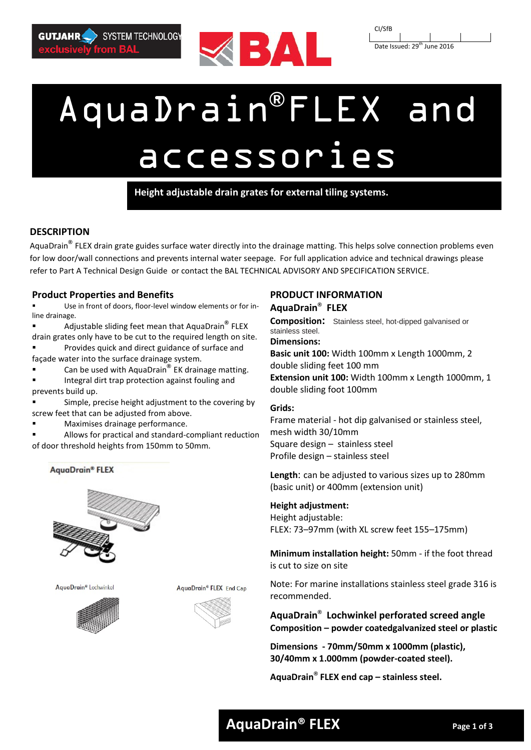





# AquaDrain**®**FLEX and accessories

**Height adjustable drain grates for external tiling systems.**

# **DESCRIPTION**

AquaDrain**®** FLEX drain grate guides surface water directly into the drainage matting. This helps solve connection problems even for low door/wall connections and prevents internal water seepage. For full application advice and technical drawings please refer to Part A Technical Design Guide or contact the BAL TECHNICAL ADVISORY AND SPECIFICATION SERVICE.

## **Product Properties and Benefits**

 Use in front of doors, floor-level window elements or for inline drainage.

 Adjustable sliding feet mean that AquaDrain**®** FLEX drain grates only have to be cut to the required length on site.

 Provides quick and direct guidance of surface and façade water into the surface drainage system.

■ Can be used with AquaDrain<sup>®</sup> EK drainage matting.

 Integral dirt trap protection against fouling and prevents build up.

 Simple, precise height adjustment to the covering by screw feet that can be adjusted from above.

Maximises drainage performance.

 Allows for practical and standard-compliant reduction of door threshold heights from 150mm to 50mm.

AquaDrain® FLEX



AquaDrain® Lochwinkel



AquaDrain® FLEX End Cap



# **PRODUCT INFORMATION AquaDrain® FLEX**

**Composition:** Stainless steel, hot-dipped galvanised or stainless steel.

**Dimensions:** 

**Basic unit 100:** Width 100mm x Length 1000mm, 2 double sliding feet 100 mm **Extension unit 100:** Width 100mm x Length 1000mm, 1 double sliding foot 100mm

## **Grids:**

Frame material - hot dip galvanised or stainless steel, mesh width 30/10mm Square design – stainless steel Profile design – stainless steel

**Length**: can be adjusted to various sizes up to 280mm (basic unit) or 400mm (extension unit)

## **Height adjustment:**

Height adjustable: FLEX: 73–97mm (with XL screw feet 155–175mm)

**Minimum installation height:** 50mm - if the foot thread is cut to size on site

Note: For marine installations stainless steel grade 316 is recommended.

**AquaDrain® Lochwinkel perforated screed angle Composition – powder coatedgalvanized steel or plastic**

**Dimensions - 70mm/50mm x 1000mm (plastic), 30/40mm x 1.000mm (powder-coated steel).**

**AquaDrain® FLEX end cap – stainless steel.** 

# **AquaDrain® FLEX Page 1 of 3**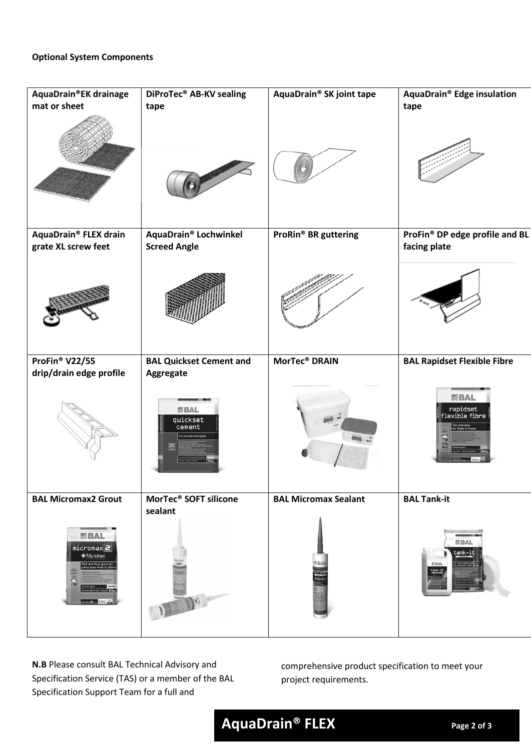| AquaDrain®EK drainage                                                                                                | DiProTec <sup>®</sup> AB-KV sealing    | AquaDrain® SK joint tape    | AquaDrain® Edge insulation                                                                 |
|----------------------------------------------------------------------------------------------------------------------|----------------------------------------|-----------------------------|--------------------------------------------------------------------------------------------|
| mat or sheet                                                                                                         | tape                                   |                             | tape                                                                                       |
|                                                                                                                      |                                        |                             |                                                                                            |
| AquaDrain® FLEX drain                                                                                                | AquaDrain® Lochwinkel                  | ProRin® BR guttering        | ProFin® DP edge profile and BL                                                             |
| grate XL screw feet                                                                                                  | <b>Screed Angle</b>                    |                             | facing plate                                                                               |
|                                                                                                                      |                                        |                             |                                                                                            |
| ProFin® V22/55                                                                                                       | <b>BAL Quickset Cement and</b>         | MorTec <sup>®</sup> DRAIN   | <b>BAL Rapidset Flexible Fibre</b>                                                         |
| drip/drain edge profile                                                                                              | Aggregate                              |                             |                                                                                            |
|                                                                                                                      | <b>KBAL</b><br>quickset<br>cement<br>噩 |                             | <b>KBAL</b><br>rapidset<br>flexible fibre<br>Auriesive<br>Walls & Floc<br>臣<br>$\Box$<br>困 |
| <b>BAL Micromax2 Grout</b>                                                                                           | MorTec <sup>®</sup> SOFT silicone      | <b>BAL Micromax Sealant</b> | <b>BAL Tank-it</b>                                                                         |
| <b>KBAL</b><br>$micromax$ $\blacksquare$<br>· Microban<br>Wall and floor grout for<br>joints from 1mm to 20n<br>EDIE | sealant<br>BARA ADAM AF                | <b>NBAL</b><br>crom         | <b>EAL</b><br>tank-it<br><b>ISBAL</b><br>ank-i                                             |

**N.B** Please consult BAL Technical Advisory and Specification Service (TAS) or a member of the BAL Specification Support Team for a full and

comprehensive product specification to meet your project requirements.